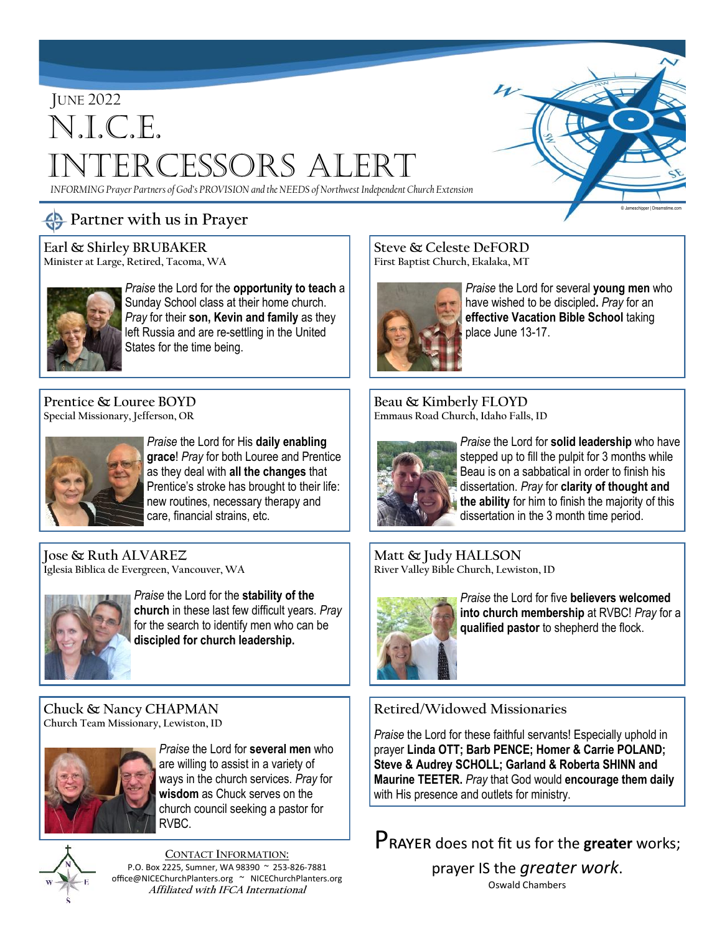# JUNE 2022 N.I.C.E. Intercessors Alert

*INFORMING Prayer Partners of God's PROVISION and the NEEDS of Northwest Independent Church Extension*

# **Partner with us in Prayer**

**Earl & Shirley BRUBAKER Minister at Large, Retired, Tacoma, WA**



*Praise* the Lord for the **opportunity to teach** a Sunday School class at their home church. *Pray* for their **son, Kevin and family** as they left Russia and are re-settling in the United States for the time being.

**Prentice & Louree BOYD Special Missionary, Jefferson, OR**



*Praise* the Lord for His **daily enabling grace**! *Pray* for both Louree and Prentice as they deal with **all the changes** that Prentice's stroke has brought to their life: new routines, necessary therapy and care, financial strains, etc.

**Jose & Ruth ALVAREZ Iglesia Biblica de Evergreen, Vancouver, WA**



*Praise* the Lord for the **stability of the church** in these last few difficult years. *Pray*  for the search to identify men who can be **discipled for church leadership.**

**Chuck & Nancy CHAPMAN Church Team Missionary, Lewiston, ID**



*Praise* the Lord for **several men** who are willing to assist in a variety of ways in the church services. *Pray* for **wisdom** as Chuck serves on the church council seeking a pastor for RVBC.



**CONTACT INFORMATION:** P.O. Box 2225, Sumner, WA 98390 ~ 253-826-7881 office@NICEChurchPlanters.org ~ NICEChurchPlanters.org **Affiliated with IFCA International**

**Steve & Celeste DeFORD First Baptist Church, Ekalaka, MT**



*Praise* the Lord for several **young men** who have wished to be discipled**.** *Pray* for an **effective Vacation Bible School** taking place June 13-17.

© Jameschipper | Dreamstime.com

**Beau & Kimberly FLOYD Emmaus Road Church, Idaho Falls, ID**



*Praise* the Lord for **solid leadership** who have stepped up to fill the pulpit for 3 months while Beau is on a sabbatical in order to finish his dissertation. *Pray* for **clarity of thought and the ability** for him to finish the majority of this dissertation in the 3 month time period.

**Matt & Judy HALLSON River Valley Bible Church, Lewiston, ID**



*Praise* the Lord for five **believers welcomed into church membership** at RVBC! *Pray* for a **qualified pastor** to shepherd the flock.

### **Retired/Widowed Missionaries**

*Praise* the Lord for these faithful servants! Especially uphold in prayer **Linda OTT; Barb PENCE; Homer & Carrie POLAND; Steve & Audrey SCHOLL; Garland & Roberta SHINN and Maurine TEETER.** *Pray* that God would **encourage them daily**  with His presence and outlets for ministry.

Prayer does not fit us for the **greater** works;

prayer IS the *greater work*. Oswald Chambers